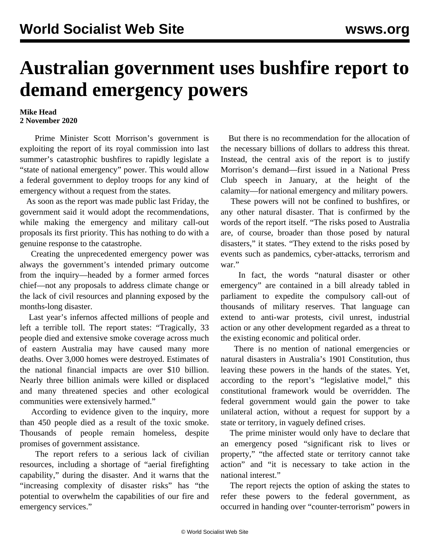## **Australian government uses bushfire report to demand emergency powers**

## **Mike Head 2 November 2020**

 Prime Minister Scott Morrison's government is exploiting the report of its royal commission into last summer's catastrophic bushfires to rapidly legislate a "state of national emergency" power. This would allow a federal government to deploy troops for any kind of emergency without a request from the states.

 As soon as the report was made public last Friday, the government said it would adopt the recommendations, while making the emergency and military call-out proposals its first priority. This has nothing to do with a genuine response to the catastrophe.

 Creating the unprecedented emergency power was always the government's intended primary outcome from the inquiry—headed by a former armed forces chief—not any proposals to address climate change or the lack of civil resources and planning exposed by the months-long disaster.

 Last year's infernos affected millions of people and left a terrible toll. The report states: "Tragically, 33 people died and extensive smoke coverage across much of eastern Australia may have caused many more deaths. Over 3,000 homes were destroyed. Estimates of the national financial impacts are over \$10 billion. Nearly three billion animals were killed or displaced and many threatened species and other ecological communities were extensively harmed."

 According to evidence given to the inquiry, more than 450 people died as a result of the toxic smoke. Thousands of people remain homeless, despite promises of government assistance.

 The report refers to a serious lack of civilian resources, including a shortage of "aerial firefighting capability," during the disaster. And it warns that the "increasing complexity of disaster risks" has "the potential to overwhelm the capabilities of our fire and emergency services."

 But there is no recommendation for the allocation of the necessary billions of dollars to address this threat. Instead, the central axis of the report is to justify Morrison's demand—first issued in a National Press Club [speech](/en/articles/2020/01/30/emer-j30.html) in January, at the height of the calamity—for national emergency and military powers.

 These powers will not be confined to bushfires, or any other natural disaster. That is confirmed by the words of the report itself. "The risks posed to Australia are, of course, broader than those posed by natural disasters," it states. "They extend to the risks posed by events such as pandemics, cyber-attacks, terrorism and war."

 In fact, the words "natural disaster or other emergency" are contained in a [bill](/en/articles/2020/10/16/mili-o16.html) already tabled in parliament to expedite the compulsory call-out of thousands of military reserves. That language can extend to anti-war protests, civil unrest, industrial action or any other development regarded as a threat to the existing economic and political order.

 There is no mention of national emergencies or natural disasters in Australia's 1901 Constitution, thus leaving these powers in the hands of the states. Yet, according to the report's "legislative model," this constitutional framework would be overridden. The federal government would gain the power to take unilateral action, without a request for support by a state or territory, in vaguely defined crises.

 The prime minister would only have to declare that an emergency posed "significant risk to lives or property," "the affected state or territory cannot take action" and "it is necessary to take action in the national interest."

 The report rejects the option of asking the states to refer these powers to the federal government, as occurred in handing over "counter-terrorism" powers in